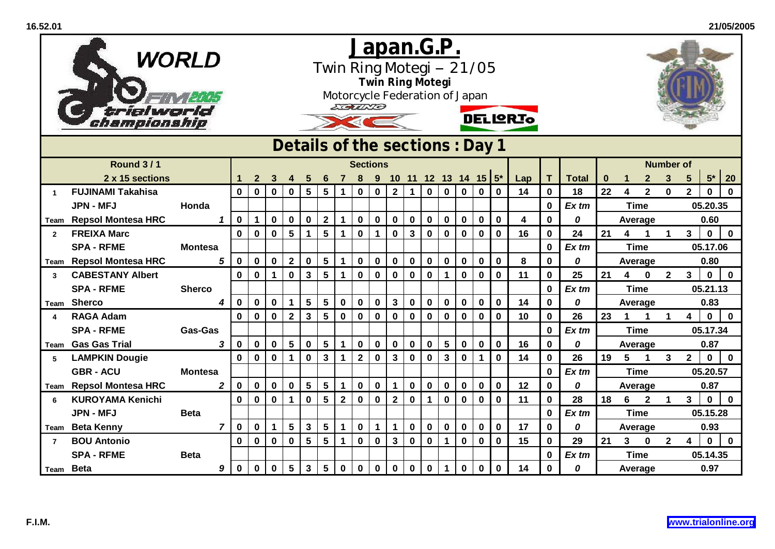|                | trialworld<br>championship                  | WORLD           |                | <u>Japan.G.P.</u><br>Twin Ring Motegi -- 21/05<br><b>Twin Ring Motegi</b><br>Motorcycle Federation of Japan<br>EGUND<br><b>DELIGRIO</b><br>Details of the sections: Day 1 |                  |             |                 |                         |                 |                         |              |              |                |              |             |                         |              |                         |                         |           |                   |                    |    |                         |                                |                  |                 |                            |                    |
|----------------|---------------------------------------------|-----------------|----------------|---------------------------------------------------------------------------------------------------------------------------------------------------------------------------|------------------|-------------|-----------------|-------------------------|-----------------|-------------------------|--------------|--------------|----------------|--------------|-------------|-------------------------|--------------|-------------------------|-------------------------|-----------|-------------------|--------------------|----|-------------------------|--------------------------------|------------------|-----------------|----------------------------|--------------------|
|                |                                             | <b>Sections</b> |                |                                                                                                                                                                           |                  |             |                 |                         |                 |                         |              |              |                |              |             |                         |              |                         |                         |           |                   |                    |    |                         |                                |                  |                 |                            |                    |
|                | <b>Round 3/1</b>                            |                 |                |                                                                                                                                                                           |                  |             |                 |                         |                 |                         |              |              |                |              |             |                         |              |                         |                         |           |                   |                    |    |                         |                                | <b>Number of</b> |                 |                            |                    |
|                | 2 x 15 sections<br><b>FUJINAMI Takahisa</b> |                 |                |                                                                                                                                                                           | 2<br>$\mathbf 0$ |             |                 | $5\phantom{1}$          | $5\phantom{1}$  |                         |              |              |                | $\mathbf 1$  | $\mathbf 0$ | $\mathbf 0$             | $\mathbf 0$  | 10 11 12 13 14 15 $5^*$ | $\overline{\mathbf{0}}$ | Lap<br>14 | T.<br>$\mathbf 0$ | <b>Total</b><br>18 | 22 | $\overline{\mathbf{4}}$ | $\mathbf{2}$<br>$\overline{2}$ | $\mathbf{3}$     | $5\phantom{.0}$ | $5^{\star}$<br>$\mathbf 0$ | 20<br>$\mathbf{0}$ |
| 1              | <b>JPN - MFJ</b>                            | Honda           |                | $\mathbf 0$                                                                                                                                                               |                  | $\mathbf 0$ | $\mathbf 0$     |                         |                 | 1                       | $\mathbf 0$  | $\mathbf 0$  | $\overline{2}$ |              |             |                         |              | $\mathbf 0$             |                         |           | $\mathbf 0$       | Ex tm              |    | <b>Time</b>             |                                | $\mathbf 0$      | $\mathbf{2}$    | 05.20.35                   |                    |
|                | Team Repsol Montesa HRC                     |                 | 1              | $\mathbf 0$                                                                                                                                                               |                  | $\mathbf 0$ | $\pmb{0}$       | $\bf{0}$                | $\mathbf{2}$    | 1                       | $\mathbf 0$  | $\bf{0}$     | $\bf{0}$       | $\bf{0}$     | $\mathbf 0$ | $\bf{0}$                | $\mathbf 0$  | $\bf{0}$                | $\mathbf 0$             | 4         | 0                 | 0                  |    | Average                 |                                |                  |                 | 0.60                       |                    |
| $\overline{2}$ | <b>FREIXA Marc</b>                          |                 |                | $\bf{0}$                                                                                                                                                                  | $\mathbf 0$      | $\mathbf 0$ | 5               | $\mathbf{1}$            | $5\phantom{1}$  | $\blacktriangleleft$    | $\mathbf 0$  | $\mathbf{1}$ | $\mathbf 0$    | $\mathbf{3}$ | $\pmb{0}$   | $\mathbf 0$             | $\mathbf 0$  | $\pmb{0}$               | $\mathbf 0$             | 16        | 0                 | 24                 | 21 | 4                       | $\blacktriangleleft$           | $\mathbf 1$      | 3 <sup>1</sup>  | $\mathbf 0$                | $\mathbf 0$        |
|                | <b>SPA - RFME</b>                           | <b>Montesa</b>  |                |                                                                                                                                                                           |                  |             |                 |                         |                 |                         |              |              |                |              |             |                         |              |                         |                         |           | 0                 | $Ex$ tm            |    |                         | <b>Time</b>                    |                  |                 | 05.17.06                   |                    |
|                | Team Repsol Montesa HRC                     |                 | 5              | $\pmb{0}$                                                                                                                                                                 | $\mathbf 0$      | $\mathbf 0$ | $\bf 2$         | $\mathbf 0$             | $\sqrt{5}$      | 1                       | $\mathbf 0$  | $\pmb{0}$    | $\mathbf 0$    | $\pmb{0}$    | $\pmb{0}$   | $\pmb{0}$               | $\mathbf 0$  | $\pmb{0}$               | $\bf{0}$                | 8         | $\mathbf 0$       | 0                  |    |                         | Average                        |                  |                 | 0.80                       |                    |
| 3              | <b>CABESTANY Albert</b>                     |                 |                | 0                                                                                                                                                                         | $\mathbf 0$      | $\mathbf 1$ | $\mathbf 0$     | $\mathbf{3}$            | $5\phantom{.0}$ | $\mathbf{1}$            | $\mathbf 0$  | $\mathbf 0$  | $\mathbf 0$    | $\mathbf 0$  | $\mathbf 0$ | $\mathbf 1$             | $\mathbf 0$  | $\bf{0}$                | $\mathbf 0$             | 11        | $\mathbf 0$       | 25                 | 21 | 4                       | $\bf{0}$                       | $\mathbf{2}$     | $3\phantom{a}$  | $\mathbf 0$                | $\mathbf 0$        |
|                | <b>SPA - RFME</b>                           | <b>Sherco</b>   |                |                                                                                                                                                                           |                  |             |                 |                         |                 |                         |              |              |                |              |             |                         |              |                         |                         |           | 0                 | Ex tm              |    | <b>Time</b>             |                                |                  |                 | 05.21.13                   |                    |
|                | Team Sherco                                 |                 | 4              | $\mathbf 0$                                                                                                                                                               | $\mathbf 0$      | $\mathbf 0$ | 1               | $5\phantom{.0}$         | 5               | $\mathbf 0$             | $\mathbf 0$  | $\mathbf 0$  | $\mathbf{3}$   | $\mathbf 0$  | $\pmb{0}$   | $\mathbf 0$             | $\mathbf 0$  | $\mathbf 0$             | $\mathbf 0$             | 14        | 0                 | 0                  |    | Average                 |                                |                  |                 | 0.83                       |                    |
| 4              | <b>RAGA Adam</b>                            |                 |                | $\bf{0}$                                                                                                                                                                  | $\mathbf 0$      | $\mathbf 0$ | $\mathbf{2}$    | $\overline{\mathbf{3}}$ | $5\phantom{.0}$ | $\bf{0}$                | $\mathbf 0$  | $\bf{0}$     | $\mathbf 0$    | $\mathbf 0$  | $\pmb{0}$   | $\mathbf 0$             | $\mathbf{0}$ | $\pmb{0}$               | $\mathbf 0$             | 10        | 0                 | 26                 | 23 | 1                       | 1                              |                  | 4               | $\mathbf 0$                | $\mathbf{0}$       |
|                | <b>SPA - RFME</b>                           | <b>Gas-Gas</b>  |                |                                                                                                                                                                           |                  |             |                 |                         |                 |                         |              |              |                |              |             |                         |              |                         |                         |           | 0                 | $Ex$ tm            |    |                         | <b>Time</b>                    |                  |                 | 05.17.34                   |                    |
| Team           | <b>Gas Gas Trial</b>                        |                 | 3              | $\mathbf 0$                                                                                                                                                               | $\mathbf 0$      | $\mathbf 0$ | $5\phantom{1}$  | $\mathbf 0$             | $5\phantom{a}$  | $\mathbf{1}$            | $\mathbf 0$  | $\mathbf 0$  | $\mathbf 0$    | $\bf{0}$     | $\pmb{0}$   | $5\phantom{a}$          | $\mathbf 0$  | $\pmb{0}$               | $\mathbf 0$             | 16        | $\mathbf 0$       | 0                  |    | Average                 |                                |                  |                 | 0.87                       |                    |
| 5              | <b>LAMPKIN Dougie</b>                       |                 |                | $\bf{0}$                                                                                                                                                                  | $\mathbf 0$      | $\mathbf 0$ | $\mathbf 1$     | $\mathbf 0$             | $\mathbf{3}$    | $\blacktriangleleft$    | $\mathbf{2}$ | $\mathbf 0$  | $\mathbf{3}$   | $\mathbf 0$  | $\mathbf 0$ | $\overline{\mathbf{3}}$ | $\mathbf 0$  | $\mathbf{1}$            | $\mathbf 0$             | 14        | $\mathbf 0$       | 26                 | 19 | 5                       | 1                              | 3                | $\overline{2}$  | $\mathbf 0$                | $\mathbf 0$        |
|                | <b>GBR - ACU</b>                            | <b>Montesa</b>  |                |                                                                                                                                                                           |                  |             |                 |                         |                 |                         |              |              |                |              |             |                         |              |                         |                         |           | 0                 | Ex tm              |    | <b>Time</b>             |                                |                  |                 | 05.20.57                   |                    |
|                | Team Repsol Montesa HRC                     |                 | $\overline{2}$ | $\mathbf 0$                                                                                                                                                               | $\mathbf 0$      | $\mathbf 0$ | $\mathbf 0$     | $\overline{\mathbf{5}}$ | $5\phantom{a}$  | $\mathbf{1}$            | $\mathbf 0$  | $\mathbf 0$  | $\mathbf{1}$   | $\mathbf 0$  | $\pmb{0}$   | $\mathbf 0$             | $\mathbf 0$  | $\pmb{0}$               | $\mathbf 0$             | 12        | $\mathbf 0$       | 0                  |    | Average                 |                                |                  |                 | 0.87                       |                    |
| 6              | <b>KUROYAMA Kenichi</b>                     |                 |                | $\mathbf 0$                                                                                                                                                               | $\mathbf 0$      | $\mathbf 0$ | 1               | $\mathbf 0$             | 5               | $\overline{\mathbf{2}}$ | $\mathbf 0$  | $\mathbf 0$  | $\mathbf{2}$   | $\mathbf 0$  | $\mathbf 1$ | $\mathbf 0$             | $\mathbf 0$  | $\mathbf 0$             | $\mathbf 0$             | 11        | $\mathbf 0$       | 28                 | 18 | 6                       | $\mathbf 2$                    | $\mathbf 1$      | 3               | $\mathbf 0$                | $\mathbf 0$        |
|                | <b>JPN - MFJ</b>                            | <b>Beta</b>     |                |                                                                                                                                                                           |                  |             |                 |                         |                 |                         |              |              |                |              |             |                         |              |                         |                         |           | 0                 | Ex tm              |    |                         | <b>Time</b>                    |                  |                 | 05.15.28                   |                    |
|                | Team Beta Kenny                             |                 | $\overline{7}$ | $\mathbf 0$                                                                                                                                                               | $\bf{0}$         | $\mathbf 1$ | 5               | $\mathbf{3}$            | $5\phantom{1}$  | $\mathbf 1$             | $\mathbf 0$  | $\mathbf{1}$ | $\mathbf 1$    | $\mathbf 0$  | $\pmb{0}$   | $\mathbf 0$             | $\mathbf 0$  | $\mathbf 0$             | $\mathbf 0$             | 17        | $\mathbf 0$       | 0                  |    | Average                 |                                |                  |                 | 0.93                       |                    |
| $\overline{7}$ | <b>BOU Antonio</b>                          |                 |                | $\mathbf 0$                                                                                                                                                               | $\mathbf 0$      | $\mathbf 0$ | $\pmb{0}$       | $5\phantom{1}$          | $5\phantom{1}$  | $\blacktriangleleft$    | $\mathbf 0$  | $\mathbf 0$  | $\mathbf{3}$   | $\mathbf 0$  | $\pmb{0}$   | $\mathbf{1}$            | $\mathbf 0$  | $\pmb{0}$               | $\mathbf 0$             | 15        | $\mathbf 0$       | 29                 | 21 | 3 <sup>1</sup>          | 0                              | $\mathbf{2}$     | 4               | $\mathbf 0$                | $\mathbf 0$        |
|                | <b>SPA - RFME</b>                           | <b>Beta</b>     |                |                                                                                                                                                                           |                  |             |                 |                         |                 |                         |              |              |                |              |             |                         |              |                         |                         |           | 0                 | Ex tm              |    | <b>Time</b>             |                                |                  |                 | 05.14.35                   |                    |
| Team Beta      |                                             |                 | 9              | $\mathbf 0$                                                                                                                                                               | $\mathbf 0$      | $\mathbf 0$ | $5\phantom{.0}$ | $\mathbf{3}$            | 5               | $\mathbf 0$             | $\mathbf 0$  | $\bf{0}$     | $\mathbf 0$    | $\mathbf 0$  | $\mathbf 0$ | $\mathbf{1}$            | $\mathbf 0$  | $\mathbf 0$             | $\mathbf 0$             | 14        | 0                 | 0                  |    | Average                 |                                |                  |                 | 0.97                       |                    |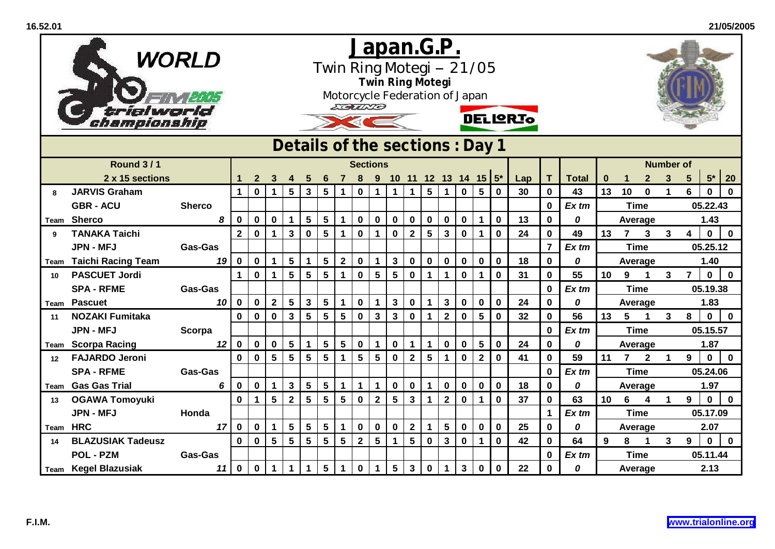|      | trialworld<br>championship | WORLD                               | <u>Japan.G.P.</u><br>Twin Ring Motegi -- 21/05<br><b>Twin Ring Motegi</b><br>Motorcycle Federation of Japan<br>EGUND<br><b>DELIGRIO</b><br>Details of the sections: Day 1 |              |                 |                 |                         |                 |                      |              |                 |                      |                |                 |                         |              |                         |                         |     |                |              |          |                |              |                      |                         |             |              |
|------|----------------------------|-------------------------------------|---------------------------------------------------------------------------------------------------------------------------------------------------------------------------|--------------|-----------------|-----------------|-------------------------|-----------------|----------------------|--------------|-----------------|----------------------|----------------|-----------------|-------------------------|--------------|-------------------------|-------------------------|-----|----------------|--------------|----------|----------------|--------------|----------------------|-------------------------|-------------|--------------|
|      |                            | <b>Round 3/1</b><br><b>Sections</b> |                                                                                                                                                                           |              |                 |                 |                         |                 |                      |              |                 |                      |                |                 |                         |              |                         |                         |     |                |              |          |                |              |                      |                         |             |              |
|      |                            |                                     |                                                                                                                                                                           |              |                 |                 |                         |                 |                      |              |                 |                      |                |                 |                         |              |                         |                         |     |                |              |          |                |              | <b>Number of</b>     |                         |             |              |
|      | 2 x 15 sections            |                                     |                                                                                                                                                                           | 2            |                 |                 |                         |                 |                      |              |                 |                      |                |                 |                         |              | 10 11 12 13 14 15 $5^*$ |                         | Lap | T.             | <b>Total</b> | $\bf{0}$ |                | $\mathbf{2}$ | $\mathbf{3}$         | $5\phantom{.0}$         | $5*$        | 20           |
| 8    | <b>JARVIS Graham</b>       |                                     | 1                                                                                                                                                                         | $\mathbf 0$  | $\mathbf{1}$    | $5\phantom{.0}$ | $\mathbf{3}$            | $5\phantom{1}$  | 1                    | $\mathbf 0$  | $\mathbf{1}$    | $\blacktriangleleft$ | $\mathbf{1}$   | $5\phantom{1}$  | $\mathbf{1}$            | $\mathbf{0}$ | $5\phantom{.0}$         | $\overline{\mathbf{0}}$ | 30  | $\mathbf 0$    | 43           | 13       | 10             | $\mathbf 0$  | $\mathbf{1}$         | 6                       | $\mathbf 0$ | $\mathbf{0}$ |
|      | <b>GBR - ACU</b>           | <b>Sherco</b>                       |                                                                                                                                                                           |              |                 |                 |                         |                 |                      |              |                 |                      |                |                 |                         |              |                         |                         |     | $\mathbf 0$    | Ex tm        |          | <b>Time</b>    |              |                      |                         | 05.22.43    |              |
|      | Team Sherco                |                                     | 8<br>0                                                                                                                                                                    | 0            | $\bf{0}$        | 1               | $\sqrt{5}$              | $5\phantom{.0}$ | 1                    | $\mathbf 0$  | 0               | $\mathbf 0$          | $\bf{0}$       | $\mathbf 0$     | $\bf{0}$                | $\mathbf 0$  | 1                       | $\mathbf 0$             | 13  | 0              | 0            |          | Average        |              |                      | 1.43                    |             |              |
| 9    | <b>TANAKA Taichi</b>       |                                     | $\mathbf{2}$                                                                                                                                                              | $\mathbf 0$  | $\mathbf 1$     | $\mathbf{3}$    | $\mathbf 0$             | $5\phantom{.0}$ | $\blacktriangleleft$ | $\mathbf 0$  | 1               | $\mathbf 0$          | $\mathbf{2}$   | $5\phantom{a}$  | $\mathbf{3}$            | $\mathbf 0$  | $\mathbf 1$             | $\mathbf 0$             | 24  | 0              | 49           | 13       | $\overline{7}$ | $\mathbf{3}$ | $\mathbf{3}$         | $\overline{\mathbf{4}}$ | $\mathbf 0$ | $\mathbf 0$  |
|      | <b>JPN - MFJ</b>           | <b>Gas-Gas</b>                      |                                                                                                                                                                           |              |                 |                 |                         |                 |                      |              |                 |                      |                |                 |                         |              |                         |                         |     | $\overline{7}$ | $Ex$ tm      |          | <b>Time</b>    |              |                      |                         | 05.25.12    |              |
| Team | <b>Taichi Racing Team</b>  |                                     | 19<br>$\mathbf 0$                                                                                                                                                         | 0            | 1               | ${\bf 5}$       | 1                       | $\sqrt{5}$      | $\mathbf 2$          | $\mathbf 0$  | 1               | $\mathbf{3}$         | $\pmb{0}$      | $\pmb{0}$       | $\boldsymbol{0}$        | $\mathbf 0$  | $\pmb{0}$               | $\bf{0}$                | 18  | $\mathbf 0$    | 0            |          | Average        |              |                      |                         | 1.40        |              |
| 10   | <b>PASCUET Jordi</b>       |                                     | 1                                                                                                                                                                         | $\bf{0}$     | $\mathbf 1$     | 5               | $\overline{\mathbf{5}}$ | $5\phantom{.0}$ | $\blacktriangleleft$ | $\mathbf 0$  | $5\phantom{.0}$ | $5\phantom{1}$       | $\mathbf 0$    | 1               | $\mathbf 1$             | $\mathbf 0$  | $\mathbf 1$             | $\mathbf 0$             | 31  | $\mathbf 0$    | 55           | 10       | 9              | $\mathbf 1$  | 3                    | $\overline{7}$          | $\mathbf 0$ | $\mathbf{0}$ |
|      | <b>SPA - RFME</b>          | <b>Gas-Gas</b>                      |                                                                                                                                                                           |              |                 |                 |                         |                 |                      |              |                 |                      |                |                 |                         |              |                         |                         |     | 0              | Ex tm        |          | <b>Time</b>    |              |                      |                         | 05.19.38    |              |
|      | Team Pascuet               |                                     | $\bf{0}$<br>10 <sup>1</sup>                                                                                                                                               | $\mathbf 0$  | $\overline{2}$  | 5               | $\mathbf{3}$            | 5               | 1                    | $\mathbf 0$  | 1               | $\mathbf{3}$         | $\mathbf 0$    | $\mathbf 1$     | $\mathbf{3}$            | $\mathbf 0$  | $\mathbf 0$             | $\mathbf 0$             | 24  | 0              | 0            |          | Average        |              |                      |                         | 1.83        |              |
| 11   | <b>NOZAKI Fumitaka</b>     |                                     | $\mathbf 0$                                                                                                                                                               | $\mathbf 0$  | $\mathbf 0$     | $\mathbf{3}$    | $5\phantom{.0}$         | $5\phantom{.0}$ | $5\phantom{1}$       | $\mathbf 0$  | $\mathbf{3}$    | $\mathbf{3}$         | $\pmb{0}$      | $\mathbf 1$     | $\overline{\mathbf{2}}$ | $\mathbf 0$  | $5\phantom{.0}$         | $\bf{0}$                | 32  | 0              | 56           | 13       | 5              | 1            | $\mathbf{3}$         | 8                       | $\mathbf 0$ | $\mathbf{0}$ |
|      | <b>JPN - MFJ</b>           | Scorpa                              |                                                                                                                                                                           |              |                 |                 |                         |                 |                      |              |                 |                      |                |                 |                         |              |                         |                         |     | 0              | $Ex$ tm      |          | <b>Time</b>    |              |                      |                         | 05.15.57    |              |
|      | <b>Team Scorpa Racing</b>  |                                     | $\mathbf 0$<br>12                                                                                                                                                         | $\mathbf 0$  | $\mathbf 0$     | $5\phantom{.0}$ | $\overline{1}$          | 5               | $5\phantom{.0}$      | $\mathbf 0$  | $\mathbf 1$     | $\mathbf 0$          | 1              | $\mathbf 1$     | $\mathbf 0$             | $\mathbf 0$  | $5\phantom{.0}$         | $\bf{0}$                | 24  | $\mathbf 0$    | 0            |          | Average        |              |                      |                         | 1.87        |              |
| 12   | <b>FAJARDO Jeroni</b>      |                                     | $\bf{0}$                                                                                                                                                                  | $\mathbf 0$  | $5\phantom{1}$  | 5               | $5\phantom{1}$          | 5               | 1                    | 5            | $5\phantom{1}$  | $\mathbf 0$          | $\mathbf{2}$   | $5\phantom{.0}$ | $\mathbf 1$             | $\mathbf{0}$ | $\overline{2}$          | $\mathbf 0$             | 41  | $\mathbf 0$    | 59           | 11       | $\overline{7}$ | $\mathbf{2}$ | $\blacktriangleleft$ | $9^{\circ}$             | $\mathbf 0$ | $\mathbf 0$  |
|      | <b>SPA - RFME</b>          | <b>Gas-Gas</b>                      |                                                                                                                                                                           |              |                 |                 |                         |                 |                      |              |                 |                      |                |                 |                         |              |                         |                         |     | 0              | Ex tm        |          | <b>Time</b>    |              |                      | 05.24.06                |             |              |
|      | Team Gas Gas Trial         |                                     | 6<br>0                                                                                                                                                                    | $\mathbf 0$  | $\mathbf 1$     | $\mathbf{3}$    | $\overline{\mathbf{5}}$ | $5\phantom{a}$  | $\mathbf{1}$         | $\mathbf 1$  | $\mathbf 1$     | $\pmb{0}$            | $\mathbf 0$    | $\mathbf 1$     | $\mathbf 0$             | $\mathbf 0$  | $\pmb{0}$               | $\mathbf 0$             | 18  | 0              | 0            |          | Average        |              |                      |                         | 1.97        |              |
| 13   | <b>OGAWA Tomoyuki</b>      |                                     | $\mathbf 0$                                                                                                                                                               | $\mathbf{1}$ | 5               | $\mathbf{2}$    | $5\phantom{1}$          | 5               | $5\phantom{1}$       | $\mathbf 0$  | $\overline{2}$  | 5                    | $\mathbf{3}$   | $\mathbf 1$     | $\overline{\mathbf{2}}$ | $\mathbf 0$  | $\mathbf{1}$            | $\mathbf 0$             | 37  | $\mathbf 0$    | 63           | 10       | 6              | 4            | $\blacktriangleleft$ | 9                       | $\mathbf 0$ | $\mathbf 0$  |
|      | <b>JPN - MFJ</b>           | Honda                               |                                                                                                                                                                           |              |                 |                 |                         |                 |                      |              |                 |                      |                |                 |                         |              |                         |                         |     | 1              | Ex tm        |          | <b>Time</b>    |              |                      |                         | 05.17.09    |              |
|      | Team HRC                   |                                     | 17<br>$\mathbf 0$                                                                                                                                                         | $\bf{0}$     | $\mathbf 1$     | 5               | $5\phantom{1}$          | $5\phantom{1}$  | $\mathbf 1$          | $\mathbf 0$  | $\mathbf 0$     | $\mathbf 0$          | $\mathbf{2}$   | $\mathbf 1$     | $5\phantom{.0}$         | $\mathbf 0$  | $\mathbf 0$             | $\mathbf 0$             | 25  | 0              | 0            |          | Average        |              |                      |                         | 2.07        |              |
| 14   | <b>BLAZUSIAK Tadeusz</b>   |                                     | $\mathbf 0$                                                                                                                                                               | $\mathbf 0$  | $5\phantom{.0}$ | $5\phantom{.0}$ | $5\phantom{1}$          | $5\phantom{1}$  | $5\phantom{a}$       | $\mathbf{2}$ | 5               | $\mathbf 1$          | $5\phantom{a}$ | $\bf{0}$        | $\mathbf{3}$            | $\mathbf 0$  | $\mathbf{1}$            | $\mathbf 0$             | 42  | $\mathbf 0$    | 64           | 9        | 8              | 1            | 3                    | 9                       | $\mathbf 0$ | $\mathbf 0$  |
|      | <b>POL - PZM</b>           | <b>Gas-Gas</b>                      |                                                                                                                                                                           |              |                 |                 |                         |                 |                      |              |                 |                      |                |                 |                         |              |                         |                         |     | 0              | Ex tm        |          | <b>Time</b>    |              |                      |                         | 05.11.44    |              |
|      | Team Kegel Blazusiak       |                                     | $\mathbf 0$<br>11                                                                                                                                                         | $\mathbf 0$  | $\mathbf 1$     | 1               | $\mathbf 1$             | 5               | 1                    | $\mathbf 0$  | $\mathbf 1$     | $5\phantom{1}$       | $\mathbf{3}$   | $\mathbf 0$     | $\mathbf{1}$            | $\mathbf{3}$ | $\mathbf 0$             | $\mathbf 0$             | 22  | 0              | 0            | Average  |                |              |                      |                         | 2.13        |              |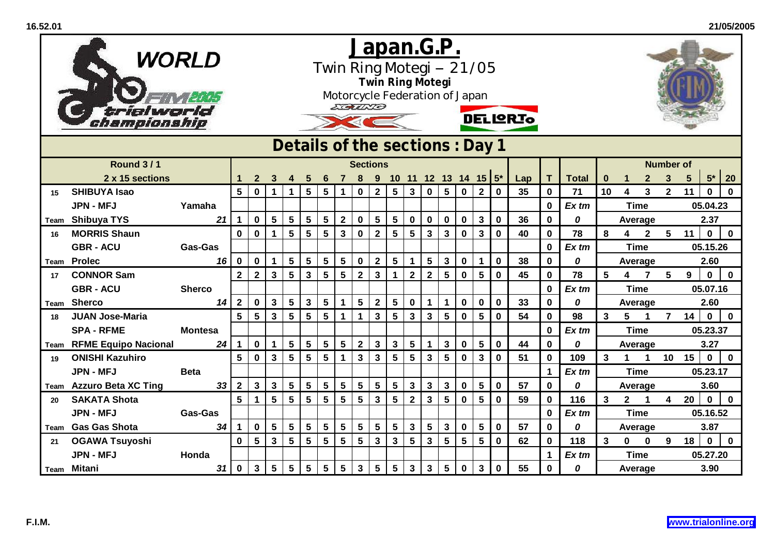|      | trialworld<br>hampionship   | <b>WORLD</b>                                      |                | <u>Japan.G.P.</u><br>Twin Ring Motegi -- 21/05<br>Twin Ring Motegi<br>Motorcycle Federation of Japan<br>ECALES<br><b>DELIQRIO</b> |                 |                      |                 |                 |                         |                |                  |                |                 |                 |                         |                |                 |             |     |              |              |         |                         |                 |                         |             |             |              |
|------|-----------------------------|---------------------------------------------------|----------------|-----------------------------------------------------------------------------------------------------------------------------------|-----------------|----------------------|-----------------|-----------------|-------------------------|----------------|------------------|----------------|-----------------|-----------------|-------------------------|----------------|-----------------|-------------|-----|--------------|--------------|---------|-------------------------|-----------------|-------------------------|-------------|-------------|--------------|
|      |                             | Details of the sections: Day 1<br><b>Sections</b> |                |                                                                                                                                   |                 |                      |                 |                 |                         |                |                  |                |                 |                 |                         |                |                 |             |     |              |              |         |                         |                 |                         |             |             |              |
|      | <b>Round 3/1</b>            |                                                   |                |                                                                                                                                   |                 |                      |                 |                 |                         |                |                  |                |                 |                 |                         |                |                 |             |     |              |              |         |                         |                 | <b>Number of</b>        |             |             |              |
|      | 2 x 15 sections             |                                                   |                | $\mathbf{2}$                                                                                                                      | 3               |                      |                 |                 |                         |                |                  |                |                 |                 | 10 11 12 13 14 15 $5^*$ |                |                 |             | Lap | T.           | <b>Total</b> | 0       |                         | $\mathbf{2}$    | 3                       | 5           | $5*$        | 20           |
| 15   | <b>SHIBUYA Isao</b>         |                                                   | 5              | $\mathbf 0$                                                                                                                       | $\mathbf 1$     | $\blacktriangleleft$ | 5 <sup>5</sup>  | $5\phantom{.0}$ | $\mathbf{1}$            | $\mathbf 0$    | $\overline{2}$   | $5\phantom{1}$ | $\mathbf{3}$    | $\mathbf 0$     | $5\phantom{1}$          | $\mathbf 0$    | 2 <sup>1</sup>  | $\mathbf 0$ | 35  | $\mathbf{0}$ | 71           | 10      | $\overline{\mathbf{4}}$ | $\mathbf{3}$    | $\overline{2}$          | 11          | $\mathbf 0$ | $\mathbf 0$  |
|      | <b>JPN - MFJ</b>            | Yamaha                                            |                |                                                                                                                                   |                 |                      |                 |                 |                         |                |                  |                |                 |                 |                         |                |                 |             |     | $\mathbf 0$  | Ex tm        |         | <b>Time</b>             |                 |                         |             | 05.04.23    |              |
|      | Team Shibuya TYS            | 21                                                | $\mathbf 1$    | 0                                                                                                                                 | $5\phantom{.0}$ | $5\phantom{.0}$      | 5               | $5\phantom{.0}$ | $\mathbf{2}$            | 0              | $5\phantom{.0}$  | $5\phantom{1}$ | 0               | $\mathbf 0$     | $\bf{0}$                | 0              | $\mathbf{3}$    | $\bf{0}$    | 36  | 0            | 0            |         | Average                 |                 |                         |             | 2.37        |              |
| 16   | <b>MORRIS Shaun</b>         |                                                   | $\mathbf 0$    | $\mathbf 0$                                                                                                                       | $\mathbf 1$     | $5\phantom{1}$       | 5               | $5\phantom{1}$  | $\mathbf{3}$            | $\mathbf 0$    | $\mathbf 2$      | $5\phantom{1}$ | $5\phantom{.0}$ | $\mathbf{3}$    | $\mathbf{3}$            | $\mathbf 0$    | $\mathbf{3}$    | $\mathbf 0$ | 40  | $\mathbf 0$  | 78           | 8       | 4                       | $\overline{2}$  | 5 <sup>5</sup>          | 11          | $\mathbf 0$ | $\mathbf 0$  |
|      | <b>GBR - ACU</b>            | <b>Gas-Gas</b>                                    |                |                                                                                                                                   |                 |                      |                 |                 |                         |                |                  |                |                 |                 |                         |                |                 |             |     | $\mathbf 0$  | Ex tm        |         | <b>Time</b>             |                 |                         |             | 05.15.26    |              |
| Team | <b>Prolec</b>               | 16                                                | $\bf{0}$       | 0                                                                                                                                 | 1               | $5\phantom{.0}$      | 5               | $5\phantom{.0}$ | $\overline{\mathbf{5}}$ | $\mathbf 0$    | $\boldsymbol{2}$ | 5              | 1               | $\sqrt{5}$      | $\mathbf 3$             | $\mathbf 0$    | $\mathbf 1$     | $\pmb{0}$   | 38  | $\mathbf 0$  | 0            |         | Average                 |                 | $5\phantom{1}$          | 9           | 2.60        |              |
| 17   | <b>CONNOR Sam</b>           |                                                   | $\mathbf{2}$   | $\mathbf{2}$                                                                                                                      | $\mathbf{3}$    | 5                    | 3               | $5\phantom{.0}$ | $5\phantom{.0}$         | $\mathbf{2}$   | $\mathbf 3$      | $\mathbf 1$    | $\mathbf{2}$    | $\mathbf{2}$    | $5\phantom{.0}$         | $\mathbf 0$    | $5\phantom{.0}$ | $\bf{0}$    | 45  | $\mathbf 0$  | 78           | 5       | 4                       | $\overline{7}$  | $\mathbf 0$             | $\mathbf 0$ |             |              |
|      | <b>GBR - ACU</b>            | <b>Sherco</b>                                     |                |                                                                                                                                   |                 |                      |                 |                 |                         |                |                  |                |                 |                 |                         |                |                 |             |     | $\mathbf 0$  | Ex tm        |         | <b>Time</b>             |                 |                         |             | 05.07.16    |              |
| Team | <b>Sherco</b>               | 14                                                | $\overline{2}$ | $\mathbf{0}$                                                                                                                      | $\mathbf{3}$    | $5\phantom{1}$       | 3               | $5\phantom{.0}$ | 1                       | 5              | $\mathbf{2}$     | 5              | 0               | $\mathbf 1$     | 1                       | 0              | $\mathbf 0$     | $\mathbf 0$ | 33  | $\mathbf 0$  | 0            |         | Average                 |                 |                         |             | 2.60        |              |
| 18   | <b>JUAN Jose-Maria</b>      |                                                   | 5              | 5                                                                                                                                 | $\mathbf{3}$    | $5\phantom{1}$       | 5               | 5               | $\mathbf{1}$            |                | $\mathbf{3}$     | $5\phantom{1}$ | $\mathbf{3}$    | $\mathbf{3}$    | $5\phantom{1}$          | $\bf{0}$       | 5               | $\mathbf 0$ | 54  | $\mathbf 0$  | 98           | 3       | 5                       | 1               | $\overline{7}$          | 14          | $\mathbf 0$ | $\mathbf{0}$ |
|      | <b>SPA - RFME</b>           | <b>Montesa</b>                                    |                |                                                                                                                                   |                 |                      |                 |                 |                         |                |                  |                |                 |                 |                         |                |                 |             |     | 0            | $Ex$ tm      |         | <b>Time</b>             |                 |                         |             | 05.23.37    |              |
| Team | <b>RFME Equipo Nacional</b> | 24                                                | $\mathbf{1}$   | $\mathbf 0$                                                                                                                       | $\mathbf{1}$    | $5\phantom{1}$       | 5               | $5\phantom{.0}$ | $\overline{\mathbf{5}}$ | $\mathbf{2}$   | $\mathbf{3}$     | $\mathbf{3}$   | 5 <sup>5</sup>  | $\mathbf{1}$    | $\mathbf{3}$            | $\mathbf 0$    | $5\phantom{.0}$ | $\mathbf 0$ | 44  | $\mathbf 0$  | 0            |         | Average                 |                 |                         |             | 3.27        |              |
| 19   | <b>ONISHI Kazuhiro</b>      |                                                   | 5              | $\mathbf 0$                                                                                                                       | $\overline{3}$  | 5                    | 5               | 5               | $\mathbf{1}$            | $\mathbf{3}$   | $\mathbf{3}$     | 5              | 5               | $\mathbf{3}$    | 5                       | $\mathbf 0$    | $\mathbf{3}$    | $\mathbf 0$ | 51  | $\mathbf 0$  | 109          | 3       | $\mathbf 1$             | $\mathbf 1$     | 10                      | 15          | $\mathbf 0$ | $\mathbf 0$  |
|      | <b>JPN - MFJ</b>            | <b>Beta</b>                                       |                |                                                                                                                                   |                 |                      |                 |                 |                         |                |                  |                |                 |                 |                         |                |                 |             |     | $\mathbf 1$  | Ex tm        |         | <b>Time</b>             |                 |                         |             | 05.23.17    |              |
|      | Team Azzuro Beta XC Ting    | 33 <sup>3</sup>                                   | $\mathbf{2}$   | $\mathbf{3}$                                                                                                                      | 3 <sup>1</sup>  | $\sqrt{5}$           | $5\phantom{.0}$ | 5               | $\overline{\mathbf{5}}$ | 5              | 5                | $5\phantom{1}$ | $\mathbf{3}$    | $\mathbf{3}$    | $\mathbf{3}$            | $\mathbf 0$    | 5 <sub>1</sub>  | $\pmb{0}$   | 57  | $\mathbf 0$  | 0            |         |                         | 3.60<br>Average |                         |             |             |              |
| 20   | <b>SAKATA Shota</b>         |                                                   | $5\phantom{1}$ | $\mathbf 1$                                                                                                                       | 5               | 5                    | 5               | $5\phantom{.0}$ | $5\phantom{1}$          | 5              | $\mathbf{3}$     | $5\phantom{1}$ | $\mathbf{2}$    | $\mathbf{3}$    | $5\phantom{1}$          | $\mathbf 0$    | $5\phantom{.0}$ | $\mathbf 0$ | 59  | $\mathbf 0$  | 116          | 3       | $\mathbf{2}$            | $\mathbf 1$     | $\overline{\mathbf{4}}$ | 20          | $\mathbf 0$ | $\mathbf 0$  |
|      | <b>JPN - MFJ</b>            | <b>Gas-Gas</b>                                    |                |                                                                                                                                   |                 |                      |                 |                 |                         |                |                  |                |                 |                 |                         |                |                 |             |     | $\mathbf 0$  | Ex tm        |         | <b>Time</b>             |                 |                         |             | 05.16.52    |              |
|      | Team Gas Gas Shota          | 34                                                | $\mathbf 1$    | $\mathbf 0$                                                                                                                       | $5\phantom{1}$  | $5\phantom{1}$       | 5               | 5               | $5\phantom{1}$          | 5              | $5\phantom{.0}$  | $5\phantom{1}$ | $\mathbf{3}$    | $5\phantom{.0}$ | $\mathbf{3}$            | $\mathbf 0$    | 5               | $\mathbf 0$ | 57  | $\mathbf{0}$ | 0            |         | Average                 |                 |                         |             | 3.87        |              |
| 21   | <b>OGAWA Tsuyoshi</b>       |                                                   | $\mathbf 0$    | 5                                                                                                                                 | $\mathbf{3}$    | $5\phantom{1}$       | 5               | 5               | $\overline{\mathbf{5}}$ | $5\phantom{a}$ | $\mathbf{3}$     | $\mathbf{3}$   | 5               | $\mathbf{3}$    | $5\phantom{1}$          | $5\phantom{a}$ | 5 <sub>1</sub>  | $\mathbf 0$ | 62  | $\mathbf 0$  | 118          | 3       | $\mathbf 0$             | $\mathbf 0$     | 9                       | 18          | $\mathbf 0$ | $\mathbf 0$  |
|      | <b>JPN - MFJ</b>            | Honda                                             |                |                                                                                                                                   |                 |                      |                 |                 |                         |                |                  |                |                 |                 |                         |                |                 |             |     | 1            | Ex tm        |         | <b>Time</b>             |                 |                         |             | 05.27.20    |              |
|      | Team Mitani                 | 31                                                | $\bf{0}$       | $\mathbf{3}$                                                                                                                      | $5\phantom{1}$  | $5\phantom{1}$       | 5               | 5               | $5\phantom{1}$          | $\mathbf{3}$   | 5                | $5\phantom{1}$ | $\mathbf{3}$    | $\mathbf{3}$    | $5\phantom{1}$          | $\mathbf 0$    | $\mathbf{3}$    | $\mathbf 0$ | 55  | $\mathbf 0$  | 0            | Average |                         |                 |                         |             | 3.90        |              |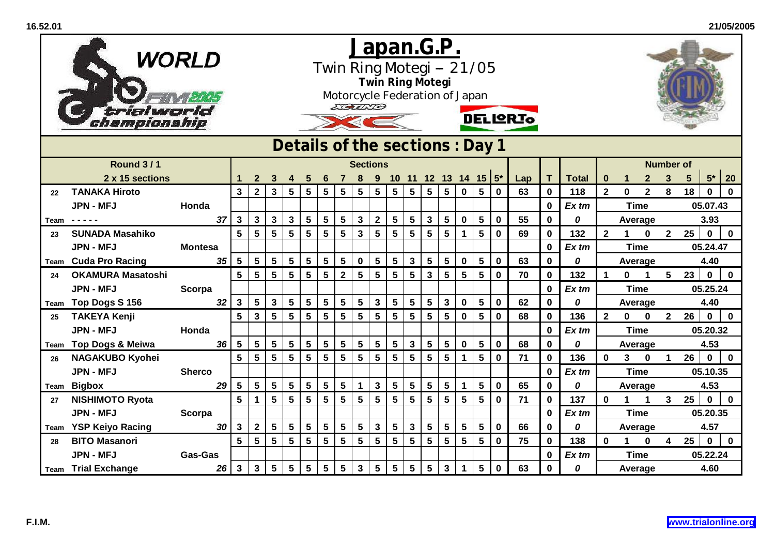|                 | WORLD<br>trialworld<br>hampionship |                                                                       |                 |              |                 |                 |                | EGUND           |                 | <b>Twin Ring Motegi</b> |                 |                 | Japan.G.P.<br>Twin Ring Motegi -- 21/05<br>Motorcycle Federation of Japan |                 |                 |                         | <b>DELIQRIO</b> |                 |             |     |              |              |                |                      |              |                         |                 |                   |              |
|-----------------|------------------------------------|-----------------------------------------------------------------------|-----------------|--------------|-----------------|-----------------|----------------|-----------------|-----------------|-------------------------|-----------------|-----------------|---------------------------------------------------------------------------|-----------------|-----------------|-------------------------|-----------------|-----------------|-------------|-----|--------------|--------------|----------------|----------------------|--------------|-------------------------|-----------------|-------------------|--------------|
|                 |                                    | Details of the sections: Day 1<br><b>Round 3/1</b><br><b>Sections</b> |                 |              |                 |                 |                |                 |                 |                         |                 |                 |                                                                           |                 |                 |                         |                 |                 |             |     |              |              |                |                      |              |                         |                 |                   |              |
|                 |                                    |                                                                       |                 |              |                 |                 |                |                 |                 |                         |                 |                 |                                                                           |                 |                 |                         |                 |                 |             |     |              |              |                |                      |              | <b>Number of</b>        |                 |                   |              |
|                 | 2 x 15 sections                    |                                                                       |                 |              | 2               |                 |                |                 |                 |                         |                 |                 |                                                                           |                 |                 | 10 11 12 13 14 15 $5^*$ |                 |                 |             | Lap | T.           | <b>Total</b> | 0              |                      | $\mathbf{2}$ | 3                       | $5\phantom{.0}$ | ${\bf 5^{\star}}$ | 20           |
| 22 <sub>2</sub> | <b>TANAKA Hiroto</b>               |                                                                       |                 | $\mathbf{3}$ | $\overline{2}$  | 3 <sup>1</sup>  | $\sqrt{5}$     | $5\overline{)}$ | $5\phantom{a}$  | $5\phantom{1}$          | $5\phantom{.0}$ | 5               | $5\phantom{1}$                                                            | $5\phantom{a}$  | $5\phantom{a}$  | $5\phantom{1}$          | $\mathbf 0$     | 5 <sub>1</sub>  | $\mathbf 0$ | 63  | $\mathbf 0$  | 118          | $\overline{2}$ | $\mathbf{0}$         | $\mathbf{2}$ | 8                       | 18              | $\mathbf 0$       | $\mathbf{0}$ |
|                 | <b>JPN - MFJ</b>                   | Honda                                                                 |                 |              |                 |                 |                |                 |                 |                         |                 |                 |                                                                           |                 |                 |                         |                 |                 |             |     | $\mathbf 0$  | Ex tm        |                | <b>Time</b>          |              |                         |                 | 05.07.43          |              |
| Team            | -----                              |                                                                       | 37              | 3            | $\mathbf{3}$    | $\mathbf{3}$    | $\mathbf{3}$   | 5               | $5\phantom{.0}$ | $5\phantom{1}$          | $\mathbf{3}$    | $\mathbf{2}$    | 5                                                                         | 5               | $\mathbf{3}$    | $5\phantom{1}$          | $\mathbf 0$     | 5               | $\bf{0}$    | 55  | $\mathbf 0$  | 0            |                | Average              |              |                         |                 | 3.93              |              |
| 23              | <b>SUNADA Masahiko</b>             |                                                                       |                 | 5            | 5               | $5\phantom{.0}$ | $5\phantom{1}$ | 5               | $5\phantom{.0}$ | 5                       | $\mathbf{3}$    | 5               | $5\phantom{1}$                                                            | $5\phantom{.0}$ | $5\phantom{.0}$ | $5\phantom{1}$          | $\mathbf{1}$    | $5\phantom{.0}$ | $\mathbf 0$ | 69  | $\mathbf{0}$ | 132          | $\mathbf{2}$   | $\blacktriangleleft$ | $\mathbf 0$  | 2 <sup>7</sup>          | 25              | $\mathbf 0$       | $\mathbf 0$  |
|                 | <b>JPN - MFJ</b>                   | <b>Montesa</b>                                                        |                 |              |                 |                 |                |                 |                 |                         |                 |                 |                                                                           |                 |                 |                         |                 |                 |             |     | $\mathbf 0$  | $Ex$ tm      |                | <b>Time</b>          |              |                         |                 | 05.24.47          |              |
|                 | <b>Team</b> Cuda Pro Racing        |                                                                       | 35              | 5            | $5\phantom{.0}$ | $5\phantom{.0}$ | $\sqrt{5}$     | 5               | $5\phantom{a}$  | 5                       | $\mathbf 0$     | 5               | 5                                                                         | 3               | $5\phantom{.0}$ | $\overline{\mathbf{5}}$ | $\mathbf 0$     | $5\phantom{.0}$ | $\mathbf 0$ | 63  | $\mathbf 0$  | 0            |                | Average              |              | $5\overline{)}$         |                 | 4.40              |              |
| 24              | <b>OKAMURA Masatoshi</b>           |                                                                       |                 | 5            | $5\phantom{1}$  | $5\phantom{1}$  | 5              | 5               | 5               | $\overline{2}$          | 5               | 5               | $5\phantom{1}$                                                            | $5\phantom{.0}$ | $\mathbf{3}$    | $5\phantom{1}$          | $5\phantom{.0}$ | $5\phantom{.0}$ | $\mathbf 0$ | 70  | $\mathbf 0$  | 132          | 1              | $\bf{0}$             | 1            | 23                      | $\mathbf{0}$    | $\mathbf 0$       |              |
|                 | <b>JPN - MFJ</b>                   | Scorpa                                                                |                 |              |                 |                 |                |                 |                 |                         |                 |                 |                                                                           |                 |                 |                         |                 |                 |             |     | $\mathbf 0$  | $Ex$ tm      |                | <b>Time</b>          |              |                         |                 | 05.25.24          |              |
|                 | Team Top Dogs S 156                |                                                                       | 32 <sub>2</sub> | $\mathbf{3}$ | 5               | $\mathbf{3}$    | $\sqrt{5}$     | 5               | $5\phantom{.0}$ | 5                       | 5               | $\mathbf 3$     | 5                                                                         | 5               | $5\phantom{.0}$ | $\mathbf{3}$            | $\mathbf 0$     | $5\phantom{.0}$ | $\mathbf 0$ | 62  | $\mathbf 0$  | 0            |                | Average              |              |                         |                 | 4.40              |              |
| 25              | <b>TAKEYA Kenji</b>                |                                                                       |                 | 5            | $\mathbf{3}$    | $5\phantom{.0}$ | 5              | 5               | $5\phantom{.0}$ | 5                       | 5               | $5\phantom{a}$  | 5                                                                         | 5               | 5               | $5\phantom{1}$          | $\mathbf 0$     | $5\phantom{.0}$ | $\mathbf 0$ | 68  | $\mathbf 0$  | 136          | $\mathbf{2}$   | $\mathbf 0$          | $\mathbf 0$  | $2^{\circ}$             | 26              | $\mathbf{0}$      | $\mathbf 0$  |
|                 | <b>JPN - MFJ</b>                   | Honda                                                                 |                 |              |                 |                 |                |                 |                 |                         |                 |                 |                                                                           |                 |                 |                         |                 |                 |             |     | $\mathbf 0$  | $Ex$ tm      |                | <b>Time</b>          |              |                         |                 | 05.20.32          |              |
| Team            | <b>Top Dogs &amp; Meiwa</b>        |                                                                       | 36              | 5            | $5\phantom{.0}$ | 5 <sup>5</sup>  | $\sqrt{5}$     | 5               | $5\phantom{a}$  | $5\phantom{1}$          | 5               | $5\phantom{.0}$ | $5\phantom{1}$                                                            | 3               | $\sqrt{5}$      | $5\phantom{1}$          | $\mathbf 0$     | $5\phantom{.0}$ | $\mathbf 0$ | 68  | $\mathbf{0}$ | 0            |                | Average              |              |                         |                 | 4.53              |              |
| 26              | <b>NAGAKUBO Kyohei</b>             |                                                                       |                 | 5            | 5               | $5\phantom{1}$  | 5              | 5               | 5               | $5\phantom{.0}$         | 5               | 5               | 5                                                                         | $5\phantom{.0}$ | $5\phantom{.0}$ | $5\phantom{.0}$         |                 | $5\phantom{.0}$ | $\mathbf 0$ | 71  | $\mathbf 0$  | 136          | $\bf{0}$       | 3                    | $\mathbf 0$  | $\blacktriangleleft$    | 26              | $\mathbf 0$       | $\mathbf 0$  |
|                 | <b>JPN - MFJ</b>                   | <b>Sherco</b>                                                         |                 |              |                 |                 |                |                 |                 |                         |                 |                 |                                                                           |                 |                 |                         |                 |                 |             |     | $\mathbf 0$  | $Ex$ tm      |                | <b>Time</b>          |              |                         |                 | 05.10.35          |              |
| Team            | <b>Bigbox</b>                      |                                                                       | 29              | 5            | $5\phantom{.0}$ | 5 <sub>5</sub>  | $\sqrt{5}$     | 5               | $5\phantom{.0}$ | $5\phantom{1}$          | 1               | $\mathbf{3}$    | $5\phantom{1}$                                                            | 5               | $5\phantom{a}$  | $5\phantom{1}$          | $\mathbf 1$     | $5\phantom{.0}$ | $\mathbf 0$ | 65  | $\mathbf 0$  | 0            |                | Average              |              |                         |                 | 4.53              |              |
| 27              | <b>NISHIMOTO Ryota</b>             |                                                                       |                 | 5            | $\mathbf{1}$    | 5 <sup>5</sup>  | 5              | 5               | 5               | 5                       | 5               | 5               | $5\phantom{1}$                                                            | 5               | $5\phantom{.0}$ | $5\phantom{1}$          | $5\phantom{.0}$ | 5               | $\mathbf 0$ | 71  | $\bf{0}$     | 137          | $\bf{0}$       |                      | 1            | 3                       | 25              | $\mathbf 0$       | $\mathbf 0$  |
|                 | <b>JPN - MFJ</b>                   | <b>Scorpa</b>                                                         |                 |              |                 |                 |                |                 |                 |                         |                 |                 |                                                                           |                 |                 |                         |                 |                 |             |     | $\mathbf 0$  | Ex tm        |                | <b>Time</b>          |              |                         |                 | 05.20.35          |              |
| Team            | <b>YSP Keiyo Racing</b>            |                                                                       | 30              | $\mathbf{3}$ | $\mathbf{2}$    | 5 <sub>5</sub>  | $\bf 5$        | 5               | $5\phantom{.0}$ | $\overline{\mathbf{5}}$ | 5               | $\mathbf 3$     | 5                                                                         | $\mathbf{3}$    | $5\phantom{.0}$ | $\overline{\mathbf{5}}$ | $5\phantom{.0}$ | $5\phantom{.0}$ | $\mathbf 0$ | 66  | $\mathbf 0$  | 0            |                | Average              |              |                         |                 | 4.57              |              |
| 28              | <b>BITO Masanori</b>               |                                                                       |                 | 5            | $5\phantom{.0}$ | 5 <sup>5</sup>  | $5\phantom{1}$ | 5               | $5\phantom{.0}$ | $5\phantom{1}$          | 5               | $5\phantom{.0}$ | $5\phantom{1}$                                                            | 5               | $5\phantom{1}$  | $5\phantom{1}$          | $5\phantom{.0}$ | 5               | $\mathbf 0$ | 75  | $\mathbf 0$  | 138          | $\mathbf 0$    | 1                    | $\bf{0}$     | $\overline{\mathbf{4}}$ | 25              | $\mathbf 0$       | $\mathbf{0}$ |
|                 | <b>JPN - MFJ</b>                   | <b>Gas-Gas</b>                                                        |                 |              |                 |                 |                |                 |                 |                         |                 |                 |                                                                           |                 |                 |                         |                 |                 |             |     | $\mathbf 0$  | Ex tm        |                | <b>Time</b>          |              |                         |                 | 05.22.24          |              |
|                 | <b>Team</b> Trial Exchange         |                                                                       | 26              | $\mathbf{3}$ | $\mathbf{3}$    | 5 <sup>5</sup>  | $\sqrt{5}$     | 5               | $5\phantom{.0}$ | $5\phantom{1}$          | $\mathbf{3}$    | $5\phantom{.0}$ | $5\phantom{1}$                                                            | $5\phantom{.0}$ | $5\phantom{.0}$ | $\mathbf{3}$            | $\mathbf 1$     | 5 <sup>5</sup>  | $\bf{0}$    | 63  | $\mathbf 0$  | 0            |                | Average              |              |                         |                 | 4.60              |              |